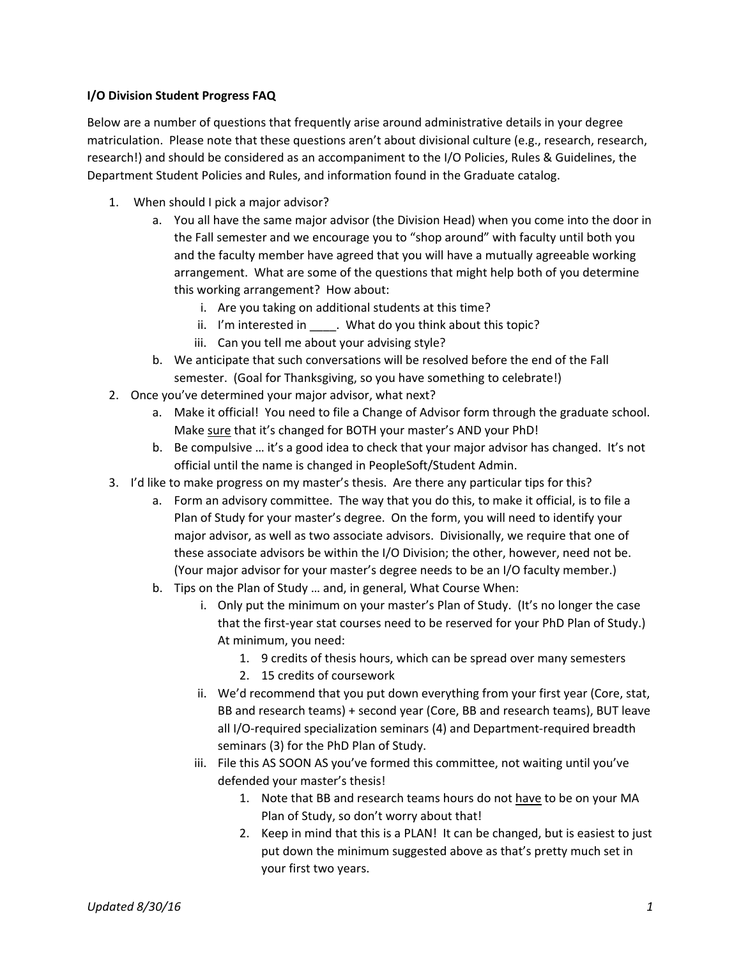## **I/O Division Student Progress FAQ**

Below are a number of questions that frequently arise around administrative details in your degree matriculation. Please note that these questions aren't about divisional culture (e.g., research, research, research!) and should be considered as an accompaniment to the I/O Policies, Rules & Guidelines, the Department Student Policies and Rules, and information found in the Graduate catalog.

- 1. When should I pick a major advisor?
	- a. You all have the same major advisor (the Division Head) when you come into the door in the Fall semester and we encourage you to "shop around" with faculty until both you and the faculty member have agreed that you will have a mutually agreeable working arrangement. What are some of the questions that might help both of you determine this working arrangement? How about:
		- i. Are you taking on additional students at this time?
		- ii. I'm interested in \_\_\_\_\_. What do you think about this topic?
		- iii. Can you tell me about your advising style?
	- b. We anticipate that such conversations will be resolved before the end of the Fall semester. (Goal for Thanksgiving, so you have something to celebrate!)
- 2. Once you've determined your major advisor, what next?
	- a. Make it official! You need to file a Change of Advisor form through the graduate school. Make sure that it's changed for BOTH your master's AND your PhD!
	- b. Be compulsive … it's a good idea to check that your major advisor has changed. It's not official until the name is changed in PeopleSoft/Student Admin.
- 3. I'd like to make progress on my master's thesis. Are there any particular tips for this?
	- a. Form an advisory committee. The way that you do this, to make it official, is to file a Plan of Study for your master's degree. On the form, you will need to identify your major advisor, as well as two associate advisors. Divisionally, we require that one of these associate advisors be within the I/O Division; the other, however, need not be. (Your major advisor for your master's degree needs to be an I/O faculty member.)
	- b. Tips on the Plan of Study … and, in general, What Course When:
		- i. Only put the minimum on your master's Plan of Study. (It's no longer the case that the first‐year stat courses need to be reserved for your PhD Plan of Study.) At minimum, you need:
			- 1. 9 credits of thesis hours, which can be spread over many semesters
			- 2. 15 credits of coursework
		- ii. We'd recommend that you put down everything from your first year (Core, stat, BB and research teams) + second year (Core, BB and research teams), BUT leave all I/O‐required specialization seminars (4) and Department‐required breadth seminars (3) for the PhD Plan of Study.
		- iii. File this AS SOON AS you've formed this committee, not waiting until you've defended your master's thesis!
			- 1. Note that BB and research teams hours do not have to be on your MA Plan of Study, so don't worry about that!
			- 2. Keep in mind that this is a PLAN! It can be changed, but is easiest to just put down the minimum suggested above as that's pretty much set in your first two years.